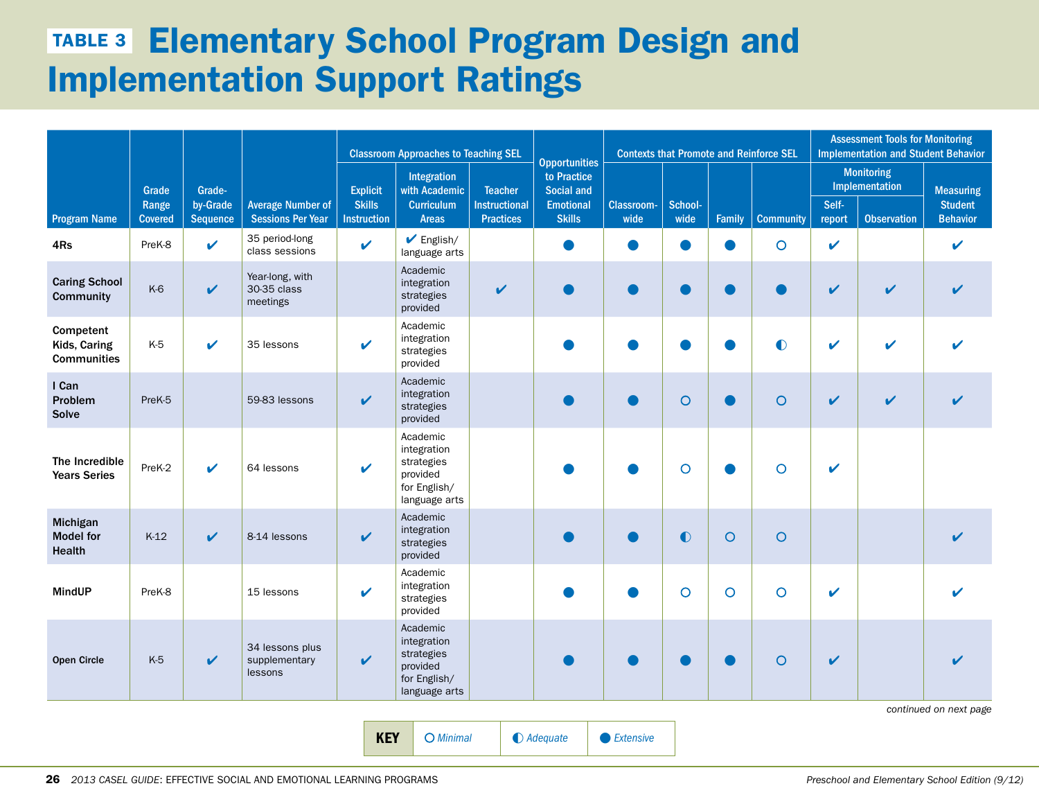## **TABLE 3 Elementary School Program Design and** Implementation Support Ratings

|                                                 |                                  |                                |                                                      |                                                        | <b>Classroom Approaches to Teaching SEL</b>                                        |                                                            |                                                                                 | <b>Contexts that Promote and Reinforce SEL</b> |                 |               | <b>Assessment Tools for Monitoring</b><br><b>Implementation and Student Behavior</b> |                 |                                                           |                                                       |
|-------------------------------------------------|----------------------------------|--------------------------------|------------------------------------------------------|--------------------------------------------------------|------------------------------------------------------------------------------------|------------------------------------------------------------|---------------------------------------------------------------------------------|------------------------------------------------|-----------------|---------------|--------------------------------------------------------------------------------------|-----------------|-----------------------------------------------------------|-------------------------------------------------------|
| <b>Program Name</b>                             | Grade<br>Range<br><b>Covered</b> | Grade-<br>by-Grade<br>Sequence | <b>Average Number of</b><br><b>Sessions Per Year</b> | <b>Explicit</b><br><b>Skills</b><br><b>Instruction</b> | Integration<br>with Academic<br><b>Curriculum</b><br><b>Areas</b>                  | <b>Teacher</b><br><b>Instructional</b><br><b>Practices</b> | <b>Opportunities</b><br>to Practice<br>Social and<br>Emotional<br><b>Skills</b> | <b>Classroom-</b><br>wide                      | School-<br>wide | <b>Family</b> | <b>Community</b>                                                                     | Self-<br>report | <b>Monitoring</b><br>Implementation<br><b>Observation</b> | <b>Measuring</b><br><b>Student</b><br><b>Behavior</b> |
| 4Rs                                             | PreK-8                           | V                              | 35 period-long<br>class sessions                     | $\mathbf v$                                            | $\blacktriangleright$ English/<br>language arts                                    |                                                            |                                                                                 |                                                | $\bullet$       | ●             | $\circ$                                                                              | V               |                                                           | ✔                                                     |
| <b>Caring School</b><br><b>Community</b>        | K-6                              | $\mathbf v$                    | Year-long, with<br>30-35 class<br>meetings           |                                                        | Academic<br>integration<br>strategies<br>provided                                  | V                                                          |                                                                                 |                                                | $\bullet$       | O             | ●                                                                                    | V               | $\mathbf v$                                               | $\boldsymbol{\nu}$                                    |
| Competent<br>Kids, Caring<br><b>Communities</b> | K-5                              | $\boldsymbol{\mathcal{U}}$     | 35 lessons                                           | V                                                      | Academic<br>integration<br>strategies<br>provided                                  |                                                            |                                                                                 |                                                | O               |               | $\bullet$                                                                            | ✔               | $\boldsymbol{\nu}$                                        |                                                       |
| I Can<br>Problem<br>Solve                       | PreK-5                           |                                | 59-83 lessons                                        | V                                                      | Academic<br>integration<br>strategies<br>provided                                  |                                                            |                                                                                 |                                                | $\circ$         |               | $\circ$                                                                              | V               | $\mathbf v$                                               |                                                       |
| The Incredible<br><b>Years Series</b>           | PreK-2                           | $\boldsymbol{\nu}$             | 64 lessons                                           | $\mathbf v$                                            | Academic<br>integration<br>strategies<br>provided<br>for English/<br>language arts |                                                            |                                                                                 |                                                | $\circ$         |               | $\circ$                                                                              | V               |                                                           |                                                       |
| Michigan<br><b>Model for</b><br><b>Health</b>   | $K-12$                           | $\mathbf{v}$                   | 8-14 lessons                                         | V                                                      | Academic<br>integration<br>strategies<br>provided                                  |                                                            |                                                                                 |                                                | $\bullet$       | $\circ$       | $\circ$                                                                              |                 |                                                           |                                                       |
| <b>MindUP</b>                                   | PreK-8                           |                                | 15 lessons                                           | V                                                      | Academic<br>integration<br>strategies<br>provided                                  |                                                            |                                                                                 |                                                | $\circ$         | $\circ$       | $\circ$                                                                              | ✔               |                                                           |                                                       |
| <b>Open Circle</b>                              | K-5                              | $\mathbf v$                    | 34 lessons plus<br>supplementary<br>lessons          | V                                                      | Academic<br>integration<br>strategies<br>provided<br>for English/<br>language arts |                                                            |                                                                                 |                                                |                 | o)            | $\circ$                                                                              | V               |                                                           | continued on next page                                |

KEY ○ *Minimal* ◐ *Adequate* • *Extensive*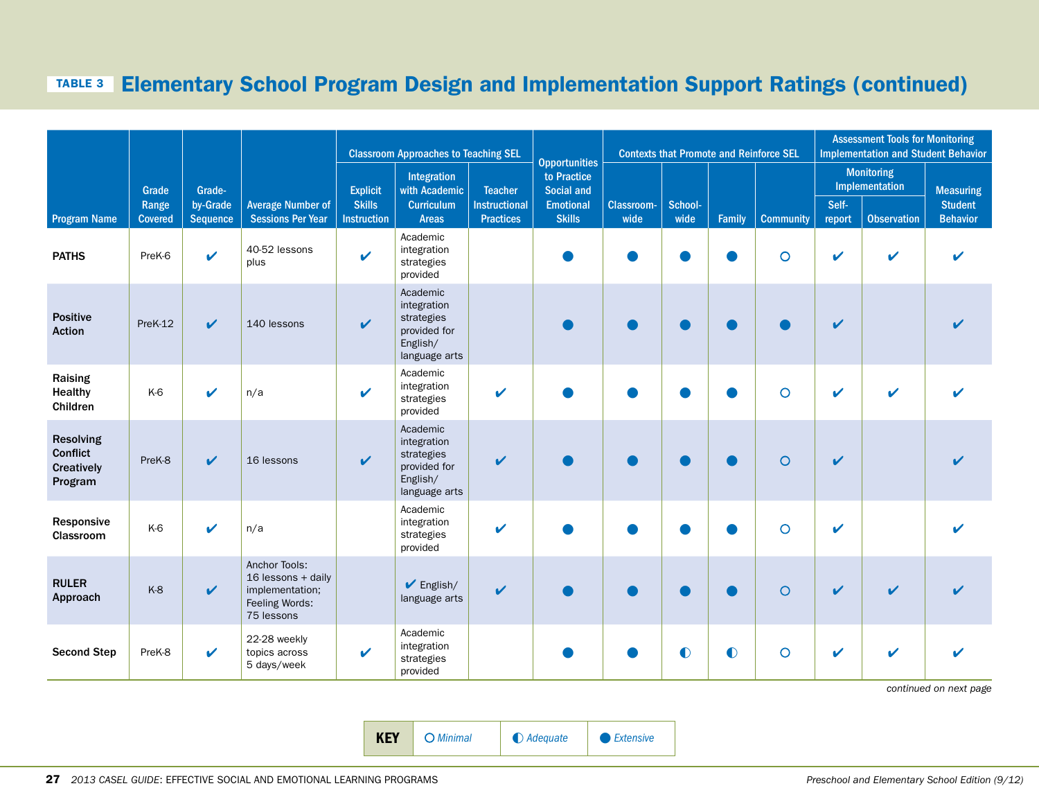#### Table 3 Elementary School Program Design and Implementation Support Ratings (continued)

|                                                              |                         |                             |                                                                                        | <b>Classroom Approaches to Teaching SEL</b> |                                                                                    |                                          | <b>Opportunities</b>              |                           | <b>Contexts that Promote and Reinforce SEL</b> |           | <b>Assessment Tools for Monitoring</b><br><b>Implementation and Student Behavior</b> |                    |                                     |                                   |
|--------------------------------------------------------------|-------------------------|-----------------------------|----------------------------------------------------------------------------------------|---------------------------------------------|------------------------------------------------------------------------------------|------------------------------------------|-----------------------------------|---------------------------|------------------------------------------------|-----------|--------------------------------------------------------------------------------------|--------------------|-------------------------------------|-----------------------------------|
|                                                              | Grade                   | Grade-                      |                                                                                        | <b>Explicit</b>                             | Integration<br>with Academic                                                       | <b>Teacher</b>                           | to Practice<br>Social and         |                           |                                                |           |                                                                                      |                    | <b>Monitoring</b><br>Implementation | <b>Measuring</b>                  |
| <b>Program Name</b>                                          | Range<br><b>Covered</b> | by-Grade<br><b>Sequence</b> | <b>Average Number of</b><br><b>Sessions Per Year</b>                                   | <b>Skills</b><br><b>Instruction</b>         | Curriculum<br><b>Areas</b>                                                         | <b>Instructional</b><br><b>Practices</b> | <b>Emotional</b><br><b>Skills</b> | <b>Classroom-</b><br>wide | School-<br>wide                                | Family    | <b>Community</b>                                                                     | Self-<br>report    | <b>Observation</b>                  | <b>Student</b><br><b>Behavior</b> |
| <b>PATHS</b>                                                 | PreK-6                  | $\mathbf{v}$                | 40-52 lessons<br>plus                                                                  | $\checkmark$                                | Academic<br>integration<br>strategies<br>provided                                  |                                          |                                   |                           |                                                |           | $\circ$                                                                              | $\boldsymbol{\nu}$ | ✔                                   |                                   |
| <b>Positive</b><br><b>Action</b>                             | PreK-12                 | $\mathbf{v}$                | 140 lessons                                                                            | $\mathbf v$                                 | Academic<br>integration<br>strategies<br>provided for<br>English/<br>language arts |                                          |                                   |                           | $\blacksquare$                                 |           |                                                                                      | $\mathbf{v}$       |                                     |                                   |
| Raising<br>Healthy<br>Children                               | K-6                     | $\boldsymbol{\nu}$          | n/a                                                                                    | $\mathbf{v}$                                | Academic<br>integration<br>strategies<br>provided                                  | $\mathbf{v}$                             |                                   |                           |                                                |           | $\circ$                                                                              | $\mathbf{v}$       | $\boldsymbol{\mathscr{L}}$          |                                   |
| <b>Resolving</b><br>Conflict<br><b>Creatively</b><br>Program | PreK-8                  | $\boldsymbol{\nu}$          | 16 lessons                                                                             | $\mathbf v$                                 | Academic<br>integration<br>strategies<br>provided for<br>English/<br>language arts | ✔                                        |                                   |                           |                                                |           | $\circ$                                                                              | $\boldsymbol{\nu}$ |                                     |                                   |
| Responsive<br>Classroom                                      | K-6                     | $\boldsymbol{\nu}$          | n/a                                                                                    |                                             | Academic<br>integration<br>strategies<br>provided                                  | ✔                                        |                                   |                           |                                                |           | $\circ$                                                                              | $\mathbf{v}$       |                                     |                                   |
| <b>RULER</b><br>Approach                                     | $K-8$                   | $\mathbf{v}$                | Anchor Tools:<br>16 lessons + daily<br>implementation;<br>Feeling Words:<br>75 lessons |                                             | $\blacktriangleright$ English/<br>language arts                                    | V                                        |                                   |                           |                                                |           | $\circ$                                                                              | $\mathbf{v}$       | $\mathbf{v}$                        |                                   |
| <b>Second Step</b>                                           | PreK-8                  | $\mathbf{v}$                | 22-28 weekly<br>topics across<br>5 days/week                                           | $\mathbf{v}$                                | Academic<br>integration<br>strategies<br>provided                                  |                                          |                                   |                           | $\bullet$                                      | $\bullet$ | $\circ$                                                                              | ✔                  | $\mathbf{v}$                        |                                   |

*continued on next page*

KEY ○ *Minimal* ◐ *Adequate* • *Extensive*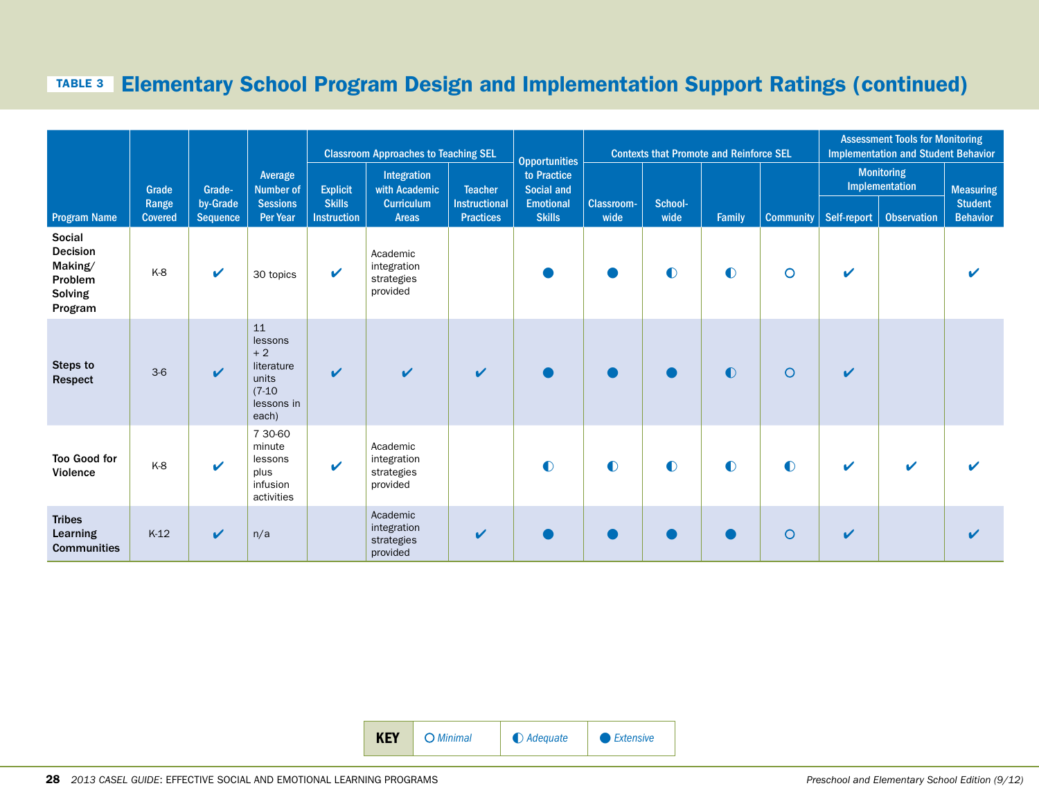#### Table 3 Elementary School Program Design and Implementation Support Ratings (continued)

|                                                                              |                         |                             |                                                                                 |                                     | <b>Classroom Approaches to Teaching SEL</b>       | <b>Opportunities</b>                     |                                   |                    | <b>Contexts that Promote and Reinforce SEL</b> | <b>Assessment Tools for Monitoring</b><br><b>Implementation and Student Behavior</b> |                  |              |                                     |                                   |
|------------------------------------------------------------------------------|-------------------------|-----------------------------|---------------------------------------------------------------------------------|-------------------------------------|---------------------------------------------------|------------------------------------------|-----------------------------------|--------------------|------------------------------------------------|--------------------------------------------------------------------------------------|------------------|--------------|-------------------------------------|-----------------------------------|
|                                                                              | Grade                   | Grade-                      | Average<br><b>Number of</b>                                                     | <b>Explicit</b>                     | Integration<br>with Academic                      | <b>Teacher</b>                           | to Practice<br>Social and         |                    |                                                |                                                                                      |                  |              | <b>Monitoring</b><br>Implementation | <b>Measuring</b>                  |
| <b>Program Name</b>                                                          | Range<br><b>Covered</b> | by-Grade<br><b>Sequence</b> | <b>Sessions</b><br><b>Per Year</b>                                              | <b>Skills</b><br><b>Instruction</b> | <b>Curriculum</b><br><b>Areas</b>                 | <b>Instructional</b><br><b>Practices</b> | <b>Emotional</b><br><b>Skills</b> | Classroom-<br>wide | School-<br>wide                                | Family                                                                               | <b>Community</b> | Self-report  | <b>Observation</b>                  | <b>Student</b><br><b>Behavior</b> |
| Social<br><b>Decision</b><br>Making/<br>Problem<br><b>Solving</b><br>Program | K-8                     | $\checkmark$                | 30 topics                                                                       | $\checkmark$                        | Academic<br>integration<br>strategies<br>provided |                                          |                                   |                    | $\bullet$                                      | $\bullet$                                                                            | $\circ$          | V            |                                     |                                   |
| Steps to<br>Respect                                                          | $3-6$                   | $\checkmark$                | 11<br>lessons<br>$+2$<br>literature<br>units<br>$(7-10)$<br>lessons in<br>each) | $\boldsymbol{\nu}$                  |                                                   | $\boldsymbol{\mathcal{U}}$               |                                   |                    | $\bullet$                                      | $\bullet$                                                                            | $\circ$          | $\mathbf v$  |                                     |                                   |
| <b>Too Good for</b><br>Violence                                              | K-8                     | $\mathbf{v}$                | 7 30-60<br>minute<br>lessons<br>plus<br>infusion<br>activities                  | $\mathbf{v}$                        | Academic<br>integration<br>strategies<br>provided |                                          | $\bullet$                         | $\bullet$          | $\bullet$                                      | $\bullet$                                                                            | $\bullet$        | $\mathbf v$  | ✔                                   |                                   |
| <b>Tribes</b><br>Learning<br><b>Communities</b>                              | $K-12$                  | V                           | n/a                                                                             |                                     | Academic<br>integration<br>strategies<br>provided | V                                        |                                   |                    |                                                |                                                                                      | O                | $\checkmark$ |                                     |                                   |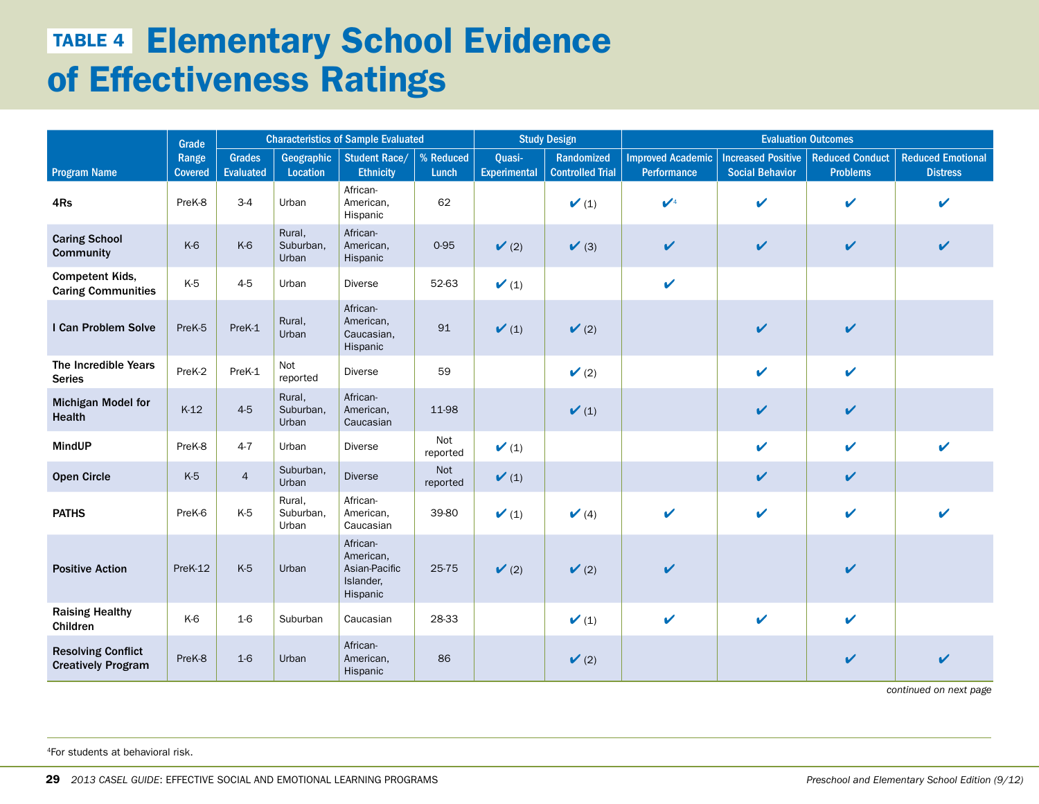# **TABLE 4 Elementary School Evidence** of Effectiveness Ratings

|                                                        | Grade                   | <b>Characteristics of Sample Evaluated</b> |                              |                                                                 |                    |                               | <b>Study Design</b>                   | <b>Evaluation Outcomes</b>              |                                                     |                                           |                                             |  |  |
|--------------------------------------------------------|-------------------------|--------------------------------------------|------------------------------|-----------------------------------------------------------------|--------------------|-------------------------------|---------------------------------------|-----------------------------------------|-----------------------------------------------------|-------------------------------------------|---------------------------------------------|--|--|
| <b>Program Name</b>                                    | Range<br><b>Covered</b> | <b>Grades</b><br><b>Evaluated</b>          | Geographic<br>Location       | <b>Student Race/</b><br><b>Ethnicity</b>                        | % Reduced<br>Lunch | Quasi-<br><b>Experimental</b> | Randomized<br><b>Controlled Trial</b> | <b>Improved Academic</b><br>Performance | <b>Increased Positive</b><br><b>Social Behavior</b> | <b>Reduced Conduct</b><br><b>Problems</b> | <b>Reduced Emotional</b><br><b>Distress</b> |  |  |
| 4Rs                                                    | PreK-8                  | $3-4$                                      | Urban                        | African-<br>American,<br>Hispanic                               | 62                 |                               | $\checkmark$ (1)                      | $\mathcal{U}^4$                         | $\checkmark$                                        | $\boldsymbol{\nu}$                        | V                                           |  |  |
| <b>Caring School</b><br>Community                      | K-6                     | K-6                                        | Rural,<br>Suburban,<br>Urban | African-<br>American,<br>Hispanic                               | 0-95               | $\checkmark$ (2)              | $\checkmark$ (3)                      | $\checkmark$                            | $\checkmark$                                        | $\mathbf v$                               | $\checkmark$                                |  |  |
| <b>Competent Kids,</b><br><b>Caring Communities</b>    | K-5                     | $4-5$                                      | Urban                        | <b>Diverse</b>                                                  | 52-63              | $\checkmark$ (1)              |                                       | $\mathbf v$                             |                                                     |                                           |                                             |  |  |
| I Can Problem Solve                                    | PreK-5                  | PreK-1                                     | Rural,<br>Urban              | African-<br>American,<br>Caucasian,<br>Hispanic                 | 91                 | $\mathcal{V}(1)$              | $\checkmark$ (2)                      |                                         | $\boldsymbol{\mathcal{U}}$                          | $\boldsymbol{\nu}$                        |                                             |  |  |
| The Incredible Years<br><b>Series</b>                  | PreK-2                  | PreK-1                                     | Not<br>reported              | <b>Diverse</b>                                                  | 59                 |                               | $\checkmark$ (2)                      |                                         | $\mathbf v$                                         | $\mathbf v$                               |                                             |  |  |
| <b>Michigan Model for</b><br><b>Health</b>             | $K-12$                  | $4-5$                                      | Rural,<br>Suburban,<br>Urban | African-<br>American,<br>Caucasian                              | 11-98              |                               | $\checkmark$ (1)                      |                                         | $\checkmark$                                        | $\mathbf v$                               |                                             |  |  |
| <b>MindUP</b>                                          | PreK-8                  | $4-7$                                      | Urban                        | <b>Diverse</b>                                                  | Not<br>reported    | $\mathbf{V}(1)$               |                                       |                                         | $\boldsymbol{\mathcal{U}}$                          | $\mathbf v$                               | $\mathbf{v}$                                |  |  |
| <b>Open Circle</b>                                     | $K-5$                   | $\overline{4}$                             | Suburban,<br>Urban           | <b>Diverse</b>                                                  | Not<br>reported    | $\checkmark$ (1)              |                                       |                                         | $\checkmark$                                        | $\checkmark$                              |                                             |  |  |
| <b>PATHS</b>                                           | PreK-6                  | K-5                                        | Rural,<br>Suburban,<br>Urban | African-<br>American,<br>Caucasian                              | 39-80              | $\mathcal{V}(1)$              | $\checkmark$ (4)                      | $\mathbf{v}$                            | V                                                   | V                                         | $\boldsymbol{\mathcal{U}}$                  |  |  |
| <b>Positive Action</b>                                 | PreK-12                 | K-5                                        | Urban                        | African-<br>American,<br>Asian-Pacific<br>Islander,<br>Hispanic | 25-75              | $\checkmark$ (2)              | $\checkmark$ (2)                      | V                                       |                                                     | V                                         |                                             |  |  |
| <b>Raising Healthy</b><br>Children                     | K-6                     | $1-6$                                      | Suburban                     | Caucasian                                                       | 28-33              |                               | $\checkmark$ (1)                      | $\mathbf{v}$                            | $\boldsymbol{\mathcal{U}}$                          | V                                         |                                             |  |  |
| <b>Resolving Conflict</b><br><b>Creatively Program</b> | PreK-8                  | $1-6$                                      | Urban                        | African-<br>American,<br>Hispanic                               | 86                 |                               | $\checkmark$ (2)                      |                                         |                                                     | $\mathbf v$                               | V                                           |  |  |

*continued on next page*

4For students at behavioral risk.